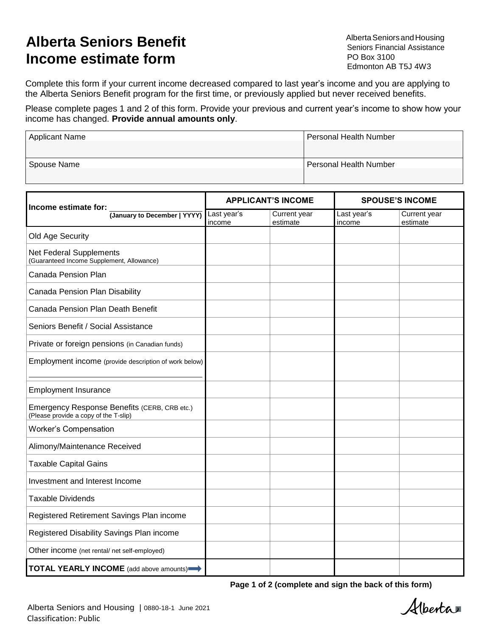## **Alberta Seniors Benefit Income estimate form**

AlbertaSeniorsandHousing Seniors Financial Assistance PO Box 3100 Edmonton AB T5J 4W3

Complete this form if your current income decreased compared to last year's income and you are applying to the Alberta Seniors Benefit program for the first time, or previously applied but never received benefits.

Please complete pages 1 and 2 of this form. Provide your previous and current year's income to show how your income has changed. **Provide annual amounts only**.

| <b>Applicant Name</b> | <b>Personal Health Number</b> |
|-----------------------|-------------------------------|
|                       |                               |
| Spouse Name           | Personal Health Number        |
|                       |                               |

| Income estimate for:                                                                  |                       | <b>APPLICANT'S INCOME</b> | <b>SPOUSE'S INCOME</b> |                          |  |
|---------------------------------------------------------------------------------------|-----------------------|---------------------------|------------------------|--------------------------|--|
| (January to December   YYYY)                                                          | Last year's<br>income | Current year<br>estimate  | Last year's<br>income  | Current year<br>estimate |  |
| Old Age Security                                                                      |                       |                           |                        |                          |  |
| Net Federal Supplements<br>(Guaranteed Income Supplement, Allowance)                  |                       |                           |                        |                          |  |
| Canada Pension Plan                                                                   |                       |                           |                        |                          |  |
| Canada Pension Plan Disability                                                        |                       |                           |                        |                          |  |
| Canada Pension Plan Death Benefit                                                     |                       |                           |                        |                          |  |
| Seniors Benefit / Social Assistance                                                   |                       |                           |                        |                          |  |
| Private or foreign pensions (in Canadian funds)                                       |                       |                           |                        |                          |  |
| Employment income (provide description of work below)                                 |                       |                           |                        |                          |  |
| <b>Employment Insurance</b>                                                           |                       |                           |                        |                          |  |
| Emergency Response Benefits (CERB, CRB etc.)<br>(Please provide a copy of the T-slip) |                       |                           |                        |                          |  |
| <b>Worker's Compensation</b>                                                          |                       |                           |                        |                          |  |
| Alimony/Maintenance Received                                                          |                       |                           |                        |                          |  |
| <b>Taxable Capital Gains</b>                                                          |                       |                           |                        |                          |  |
| Investment and Interest Income                                                        |                       |                           |                        |                          |  |
| <b>Taxable Dividends</b>                                                              |                       |                           |                        |                          |  |
| Registered Retirement Savings Plan income                                             |                       |                           |                        |                          |  |
| Registered Disability Savings Plan income                                             |                       |                           |                        |                          |  |
| Other income (net rental/ net self-employed)                                          |                       |                           |                        |                          |  |
| TOTAL YEARLY INCOME (add above amounts)                                               |                       |                           |                        |                          |  |

**Page 1 of 2 (complete and sign the back of this form)**

Alberta